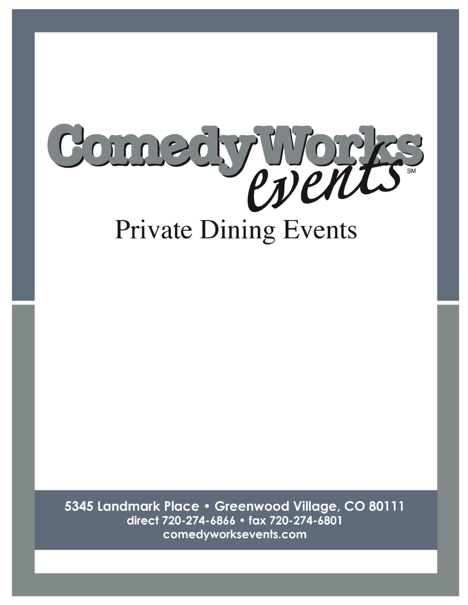

5345 Landmark Place . Greenwood Village, CO 80111 direct 720-274-6866 · fax 720-274-6801 comedyworksevents.com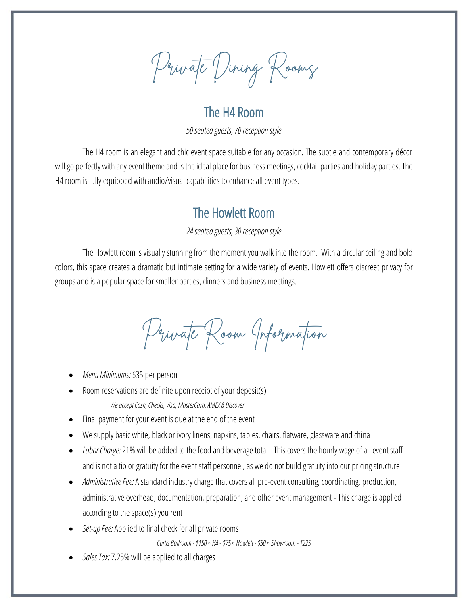Private Dining Rooms

The H4 Room

*50 seated guests, 70 reception style*

The H4 room is an elegant and chic event space suitable for any occasion. The subtle and contemporary décor will go perfectly with any event theme and is the ideal place for business meetings, cocktail parties and holiday parties. The H4 room is fully equipped with audio/visual capabilities to enhance all event types.

## The Howlett Room

### *24 seated guests, 30 reception style*

The Howlett room is visually stunning from the moment you walk into the room. With a circular ceiling and bold colors, this space creates a dramatic but intimate setting for a wide variety of events. Howlett offers discreet privacy for groups and is a popular space for smaller parties, dinners and business meetings.

Private Room Information

- *Menu Minimums:* \$35 per person
- Room reservations are definite upon receipt of your deposit(s) *We accept Cash, Checks, Visa, MasterCard, AMEX& Discover*
- Final payment for your event is due at the end of the event
- We supply basic white, black or ivory linens, napkins, tables, chairs, flatware, glassware and china
- *Labor Charge:* 21% will be added to the food and beverage total This covers the hourly wage of all event staff and is not a tip or gratuity for the event staff personnel, as we do not build gratuity into our pricing structure
- *Administrative Fee:*A standard industry charge that covers all pre-event consulting, coordinating, production, administrative overhead, documentation, preparation, and other event management - This charge is applied according to the space(s) you rent
- *Set-up Fee:*Applied to final check for all private rooms

*Curtis Ballroom -\$150 ◦ H4 -\$75 ◦ Howlett -\$50 ◦Showroom -\$225*

• *Sales Tax:* 7.25% will be applied to all charges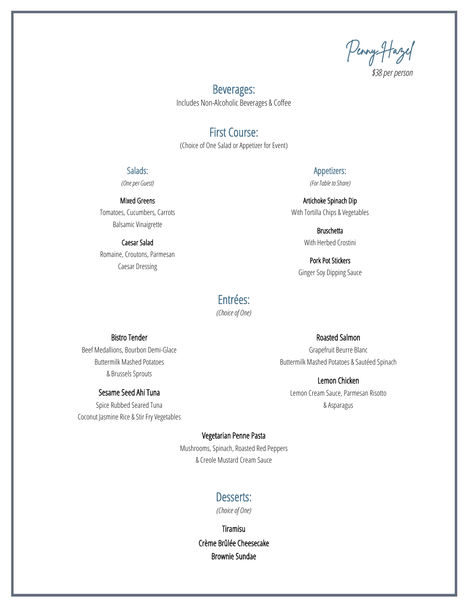Penny Hazel

*\$38per person*

### Beverages: Includes Non-Alcoholic Beverages & Coffee

### First Course:

(Choice of One Salad or Appetizer for Event)

### Salads:

*(One per Guest)*

### Mixed Greens

Tomatoes, Cucumbers, Carrots Balsamic Vinaigrette

### Caesar Salad

Romaine, Croutons, Parmesan Caesar Dressing

### Appetizers: *(For Table to Share)*

Artichoke Spinach Dip With Tortilla Chips & Vegetables

> Bruschetta With Herbed Crostini

Pork Pot Stickers Ginger Soy Dipping Sauce

### Entrées:

*(Choice of One)*

### Bistro Tender

Beef Medallions, Bourbon Demi-Glace Buttermilk Mashed Potatoes & Brussels Sprouts

### Sesame Seed Ahi Tuna

Spice Rubbed Seared Tuna Coconut Jasmine Rice & Stir Fry Vegetables Roasted Salmon

Grapefruit Beurre Blanc Buttermilk Mashed Potatoes & Sautéed Spinach

Lemon Chicken Lemon Cream Sauce, Parmesan Risotto & Asparagus

#### Vegetarian Penne Pasta

Mushrooms, Spinach, Roasted Red Peppers & Creole Mustard Cream Sauce

### Desserts:

*(Choice of One)*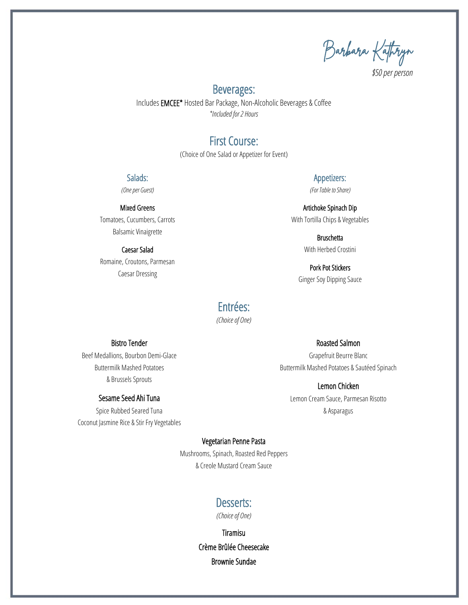Barbara Kathryn

*\$50per person*

### Beverages:

Includes EMCEE\* Hosted Bar Package, Non-Alcoholic Beverages & Coffee *\*Included for 2 Hours*

### First Course:

(Choice of One Salad or Appetizer for Event)

#### Salads:

*(One per Guest)*

#### Mixed Greens

Tomatoes, Cucumbers, Carrots Balsamic Vinaigrette

#### Caesar Salad

Romaine, Croutons, Parmesan Caesar Dressing

### Appetizers:

*(For Table to Share)*

Artichoke Spinach Dip With Tortilla Chips & Vegetables

> **Bruschetta** With Herbed Crostini

Pork Pot Stickers Ginger Soy Dipping Sauce

### Entrées:

*(Choice of One)*

#### Bistro Tender

Beef Medallions, Bourbon Demi-Glace Buttermilk Mashed Potatoes & Brussels Sprouts

### Sesame Seed Ahi Tuna

Spice Rubbed Seared Tuna Coconut Jasmine Rice & Stir Fry Vegetables

### Roasted Salmon

Grapefruit Beurre Blanc Buttermilk Mashed Potatoes & Sautéed Spinach

Lemon Chicken Lemon Cream Sauce, Parmesan Risotto & Asparagus

#### Vegetarian Penne Pasta

Mushrooms, Spinach, Roasted Red Peppers & Creole Mustard Cream Sauce

### Desserts:

*(Choice of One)*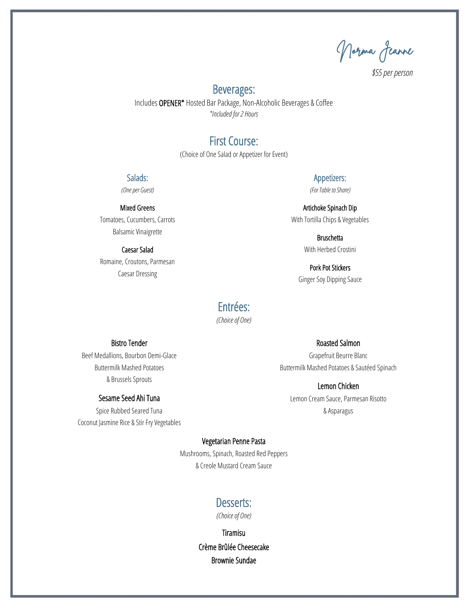Norma Jeanne

*\$55 per person*

### Beverages:

Includes OPENER\* Hosted Bar Package, Non-Alcoholic Beverages & Coffee *\*Included for 2 Hours*

### First Course:

(Choice of One Salad or Appetizer for Event)

#### Salads:

*(One per Guest)*

#### Mixed Greens

Tomatoes, Cucumbers, Carrots Balsamic Vinaigrette

#### Caesar Salad

Romaine, Croutons, Parmesan Caesar Dressing

### Appetizers:

*(For Table to Share)*

Artichoke Spinach Dip With Tortilla Chips & Vegetables

> **Bruschetta** With Herbed Crostini

Pork Pot Stickers Ginger Soy Dipping Sauce

### Entrées:

*(Choice of One)*

#### Bistro Tender

Beef Medallions, Bourbon Demi-Glace Buttermilk Mashed Potatoes & Brussels Sprouts

#### Sesame Seed Ahi Tuna

Spice Rubbed Seared Tuna Coconut Jasmine Rice & Stir Fry Vegetables

### Roasted Salmon

Grapefruit Beurre Blanc Buttermilk Mashed Potatoes & Sautéed Spinach

Lemon Chicken Lemon Cream Sauce, Parmesan Risotto & Asparagus

#### Vegetarian Penne Pasta

Mushrooms, Spinach, Roasted Red Peppers & Creole Mustard Cream Sauce

#### Desserts:

*(Choice of One)*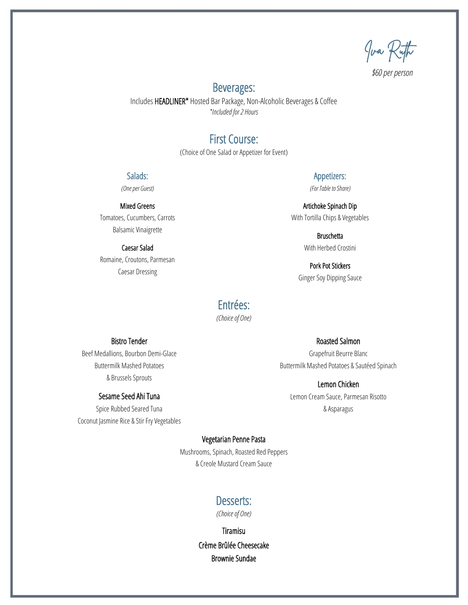Iva Ruth

*\$60per person*

### Beverages:

Includes HEADLINER\* Hosted Bar Package, Non-Alcoholic Beverages & Coffee *\*Included for 2 Hours*

### First Course:

(Choice of One Salad or Appetizer for Event)

#### Salads:

*(One per Guest)*

#### Mixed Greens

Tomatoes, Cucumbers, Carrots Balsamic Vinaigrette

#### Caesar Salad

Romaine, Croutons, Parmesan Caesar Dressing

Appetizers: *(For Table to Share)*

Artichoke Spinach Dip With Tortilla Chips & Vegetables

> Bruschetta With Herbed Crostini

Pork Pot Stickers Ginger Soy Dipping Sauce

### Entrées:

*(Choice of One)*

#### Bistro Tender

Beef Medallions, Bourbon Demi-Glace Buttermilk Mashed Potatoes & Brussels Sprouts

#### Sesame Seed Ahi Tuna

Spice Rubbed Seared Tuna Coconut Jasmine Rice & Stir Fry Vegetables Roasted Salmon

Grapefruit Beurre Blanc Buttermilk Mashed Potatoes & Sautéed Spinach

Lemon Chicken Lemon Cream Sauce, Parmesan Risotto & Asparagus

#### Vegetarian Penne Pasta

Mushrooms, Spinach, Roasted Red Peppers & Creole Mustard Cream Sauce

### Desserts:

*(Choice of One)*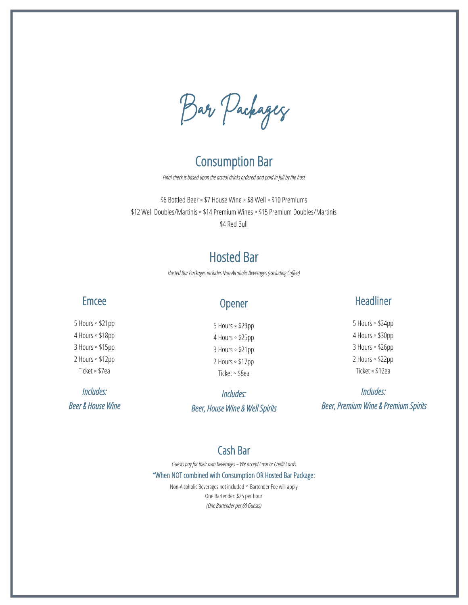Bar Packages

### Consumption Bar

*Final check is based upon the actual drinks ordered and paid in full by the host*

\$6 Bottled Beer ◦ \$7 House Wine ◦ \$8 Well ◦ \$10 Premiums \$12 Well Doubles/Martinis ◦ \$14 Premium Wines ◦ \$15 Premium Doubles/Martinis \$4 Red Bull

## Hosted Bar

*Hosted Bar Packages includes Non-Alcoholic Beverages (excluding Coffee)*

### Emcee

5 Hours ◦ \$21pp 4 Hours ◦ \$18pp 3 Hours ◦ \$15pp 2 Hours ◦ \$12pp Ticket ◦ \$7ea

*Includes: Beer & House Wine* 

### Opener

5 Hours ◦ \$29pp 4 Hours ◦ \$25pp 3 Hours ◦ \$21pp 2 Hours ◦ \$17pp Ticket ◦ \$8ea

*Includes: Beer, House Wine & Well Spirits* 

### Headliner

5 Hours ◦ \$34pp 4 Hours ◦ \$30pp 3 Hours ◦ \$26pp 2 Hours ◦ \$22pp Ticket ◦ \$12ea

*Includes: Beer, Premium Wine & Premium Spirits* 

### Cash Bar

*Guests pay for their own beverages – We accept Cash or Credit Cards*

\*When NOT combined with Consumption OR Hosted Bar Package:

Non-Alcoholic Beverages not included ◦ Bartender Fee will apply One Bartender: \$25 per hour *(One Bartender per 60 Guests)*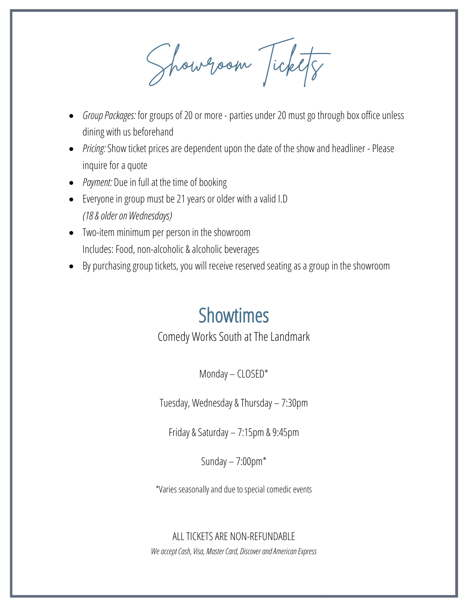Showroom Tickets

- *Group Packages:* for groups of 20 or more parties under 20 must go through box office unless dining with us beforehand
- *Pricing:* Show ticket prices are dependent upon the date of the show and headliner Please inquire for a quote
- *Payment:* Due in full at the time of booking
- Everyone in group must be 21 years or older with a valid I.D *(18 & older on Wednesdays)*
- Two-item minimum per person in the showroom Includes: Food, non-alcoholic & alcoholic beverages
- By purchasing group tickets, you will receive reserved seating as a group in the showroom

# Showtimes

Comedy Works South at The Landmark

Monday – CLOSED\*

Tuesday, Wednesday & Thursday – 7:30pm

Friday & Saturday – 7:15pm & 9:45pm

Sunday  $-7:00$ pm $*$ 

\*Varies seasonally and due to special comedic events

ALL TICKETS ARE NON-REFUNDABLE *We accept Cash, Visa, Master Card, Discover and American Express*